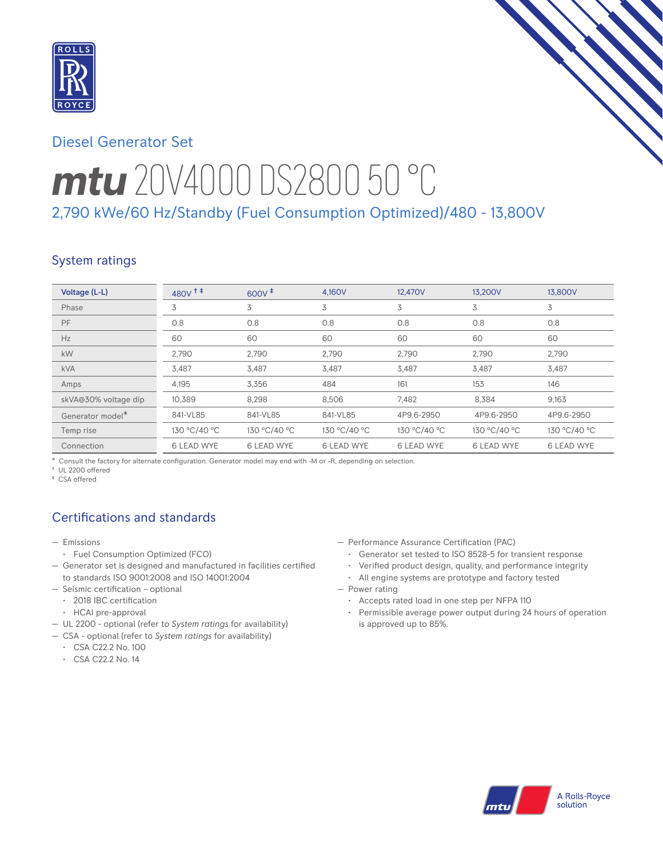

# Diesel Generator Set

# *mtu* 20V4000 DS2800 50 °C 2,790 kWe/60 Hz/Standby (Fuel Consumption Optimized)/480 - 13,800V

# System ratings

| Voltage (L-L)                | 480v <sup>+</sup> | $600V^{\ddagger}$ | 4.160V            | 12,470V           | 13.200V           | 13,800V           |
|------------------------------|-------------------|-------------------|-------------------|-------------------|-------------------|-------------------|
| Phase                        | 3                 | 3                 | 3                 | 3                 | 3                 | 3                 |
| PF                           | 0.8               | 0.8               | 0.8               | 0.8               | 0.8               | 0.8               |
| Hz                           | 60                | 60                | 60                | 60                | 60                | 60                |
| kW                           | 2,790             | 2,790             | 2,790             | 2,790             | 2,790             | 2,790             |
| <b>kVA</b>                   | 3,487             | 3,487             | 3,487             | 3,487             | 3,487             | 3,487             |
| Amps                         | 4,195             | 3,356             | 484               | 161               | 153               | 146               |
| skVA@30% voltage dip         | 10.389            | 8,298             | 8,506             | 7,482             | 8,384             | 9,163             |
| Generator model <sup>*</sup> | 841-VL85          | 841-VL85          | 841-VL85          | 4P9.6-2950        | 4P9.6-2950        | 4P9.6-2950        |
| Temp rise                    | 130 °C/40 °C      | 130 °C/40 °C      | 130 °C/40 °C      | 130 °C/40 °C      | 130 °C/40 °C      | 130 °C/40 °C      |
| Connection                   | <b>6 LEAD WYE</b> | <b>6 LEAD WYE</b> | <b>6 LEAD WYE</b> | <b>6 LEAD WYE</b> | <b>6 LEAD WYE</b> | <b>6 LEAD WYE</b> |

\* Consult the factory for alternate configuration. Generator model may end with -M or -R, depending on selection.

† UL 2200 offered ‡ CSA offered

# Certifications and standards

- Emissions
- Fuel Consumption Optimized (FCO)
- Generator set is designed and manufactured in facilities certified to standards ISO 9001:2008 and ISO 14001:2004
- Seismic certification optional
- 2018 IBC certification
- HCAI pre-approval
- UL 2200 optional (refer to *System ratings* for availability)
- CSA optional (refer to *System ratings* for availability)
	- CSA C22.2 No. 100
	- CSA C22.2 No. 14
- Performance Assurance Certification (PAC)
	- Generator set tested to ISO 8528-5 for transient response
	- Verified product design, quality, and performance integrity
	- All engine systems are prototype and factory tested
- Power rating
	- Accepts rated load in one step per NFPA 110
	- Permissible average power output during 24 hours of operation is approved up to 85%.

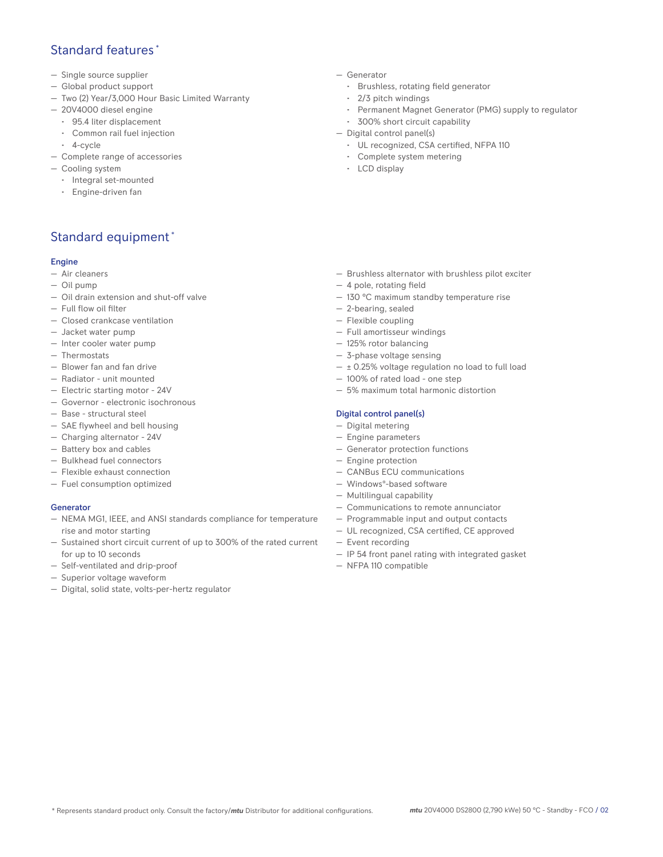## Standard features \*

- Single source supplier
- Global product support
- Two (2) Year/3,000 Hour Basic Limited Warranty
- 20V4000 diesel engine
	- 95.4 liter displacement
	- Common rail fuel injection
	- 4-cycle
- Complete range of accessories
- Cooling system
	- Integral set-mounted
	- Engine-driven fan

## Standard equipment \*

#### Engine

- Air cleaners
- Oil pump
- Oil drain extension and shut-off valve
- Full flow oil filter
- Closed crankcase ventilation
- Jacket water pump
- Inter cooler water pump
- Thermostats
- Blower fan and fan drive
- Radiator unit mounted
- Electric starting motor 24V
- Governor electronic isochronous
- Base structural steel
- SAE flywheel and bell housing
- Charging alternator 24V
- Battery box and cables
- Bulkhead fuel connectors
- Flexible exhaust connection
- Fuel consumption optimized

#### Generator

- NEMA MG1, IEEE, and ANSI standards compliance for temperature rise and motor starting
- Sustained short circuit current of up to 300% of the rated current for up to 10 seconds
- Self-ventilated and drip-proof
- Superior voltage waveform
- Digital, solid state, volts-per-hertz regulator
- Generator
	- Brushless, rotating field generator
	- 2/3 pitch windings
	- Permanent Magnet Generator (PMG) supply to regulator
- 300% short circuit capability
- Digital control panel(s)
	- UL recognized, CSA certified, NFPA 110
	- Complete system metering
	- LCD display

- Brushless alternator with brushless pilot exciter
- 4 pole, rotating field
- 130 °C maximum standby temperature rise
- 2-bearing, sealed
- Flexible coupling
- Full amortisseur windings
- 125% rotor balancing
- 3-phase voltage sensing
- $\pm$  0.25% voltage regulation no load to full load
- 100% of rated load one step
- 5% maximum total harmonic distortion

#### Digital control panel(s)

- Digital metering
- Engine parameters
- Generator protection functions
- Engine protection
- CANBus ECU communications
- Windows®-based software
- Multilingual capability
- Communications to remote annunciator
- Programmable input and output contacts
- UL recognized, CSA certified, CE approved
- IP 54 front panel rating with integrated gasket
- NFPA 110 compatible
- Event recording
	-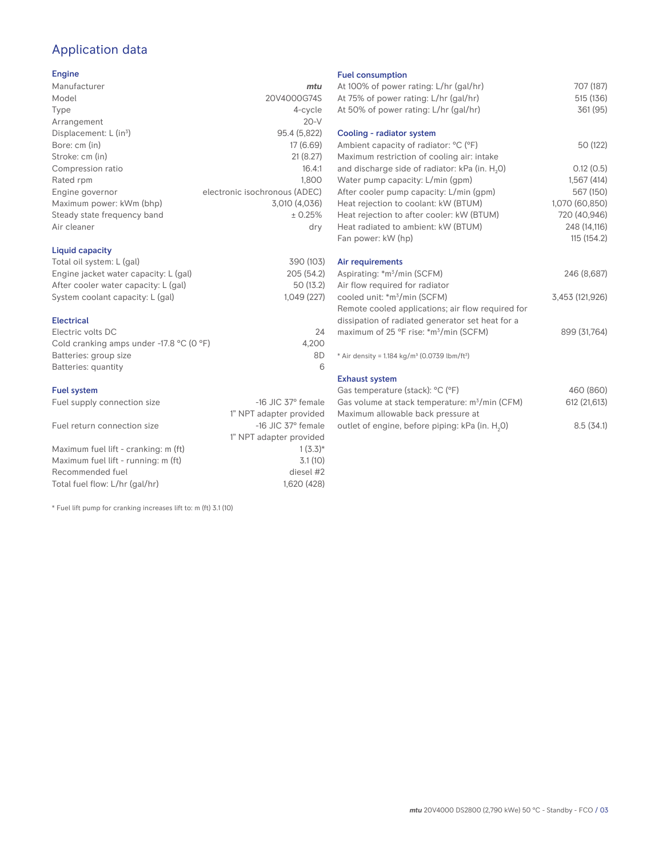# Application data

#### Engine

| Manufacturer                         | mtu                           |
|--------------------------------------|-------------------------------|
| Model                                | 20V4000G74S                   |
| Type                                 | 4-cycle                       |
| Arrangement                          | $20-V$                        |
| Displacement: $L$ (in <sup>3</sup> ) | 95.4 (5,822)                  |
| Bore: cm (in)                        | 17 (6.69)                     |
| Stroke: cm (in)                      | 21(8.27)                      |
| Compression ratio                    | 16.4:1                        |
| Rated rpm                            | 1.800                         |
| Engine governor                      | electronic isochronous (ADEC) |
| Maximum power: kWm (bhp)             | 3,010 (4,036)                 |
| Steady state frequency band          | ± 0.25%                       |
| Air cleaner                          | dry                           |
|                                      |                               |

#### Liquid capacity

| Total oil system: L (gal)             | 390 (103)  |
|---------------------------------------|------------|
| Engine jacket water capacity: L (gal) | 205 (54.2) |
| After cooler water capacity: L (gal)  | 50 (13.2)  |
| System coolant capacity: L (gal)      | 1.049(227) |
|                                       |            |

#### Electrical

| Electric volts DC                                            | 24    |
|--------------------------------------------------------------|-------|
| Cold cranking amps under -17.8 $^{\circ}$ C (O $^{\circ}$ F) | 4.200 |
| Batteries: group size                                        | 8D    |
| Batteries: quantity                                          |       |

#### Fuel system

| Fuel supply connection size          | $-16$ JIC 37 $\degree$ female |
|--------------------------------------|-------------------------------|
|                                      | 1" NPT adapter provided       |
| Fuel return connection size          | $-16$ JIC 37 $\degree$ female |
|                                      | 1" NPT adapter provided       |
| Maximum fuel lift - cranking: m (ft) | $1(3.3)*$                     |
| Maximum fuel lift - running: m (ft)  | 3.1(10)                       |
| Recommended fuel                     | diesel #2                     |
| Total fuel flow: L/hr (gal/hr)       | 1.620 (428)                   |

\* Fuel lift pump for cranking increases lift to: m (ft) 3.1 (10)

#### Fuel consumption

| At 100% of power rating: L/hr (gal/hr)                                              | 707 (187)       |
|-------------------------------------------------------------------------------------|-----------------|
| At 75% of power rating: L/hr (gal/hr)                                               | 515 (136)       |
| At 50% of power rating: L/hr (gal/hr)                                               | 361 (95)        |
| Cooling - radiator system                                                           |                 |
| Ambient capacity of radiator: °C (°F)<br>Maximum restriction of cooling air: intake | 50 (122)        |
| and discharge side of radiator: kPa (in. H <sub>2</sub> O)                          | 0.12(0.5)       |
| Water pump capacity: L/min (gpm)                                                    | 1,567(414)      |
| After cooler pump capacity: L/min (gpm)                                             | 567 (150)       |
| Heat rejection to coolant: kW (BTUM)                                                | 1,070 (60,850)  |
| Heat rejection to after cooler: kW (BTUM)                                           | 720 (40,946)    |
| Heat radiated to ambient: kW (BTUM)                                                 | 248 (14,116)    |
| Fan power: kW (hp)                                                                  | 115(154.2)      |
| Air requirements                                                                    |                 |
| Aspirating: *m <sup>3</sup> /min (SCFM)                                             | 246 (8,687)     |
| Air flow required for radiator                                                      |                 |
| cooled unit: *m <sup>3</sup> /min (SCFM)                                            | 3,453 (121,926) |
| Remote cooled applications; air flow required for                                   |                 |
| dissipation of radiated generator set heat for a                                    |                 |
| maximum of 25 °F rise: *m <sup>3</sup> /min (SCFM)                                  | 899 (31,764)    |
| * Air density = $1.184 \text{ kg/m}^3$ (0.0739 lbm/ft <sup>3</sup> )                |                 |
| <b>Exhaust system</b>                                                               |                 |
| Gas temperature (stack): °C (°F)                                                    | 460 (860)       |
| Gas volume at stack temperature: m <sup>3</sup> /min (CFM)                          | 612 (21,613)    |

| Gas volume at stack temperature. In Timil (CFMI)            | UL(LI,UIJ) |
|-------------------------------------------------------------|------------|
| Maximum allowable back pressure at                          |            |
| outlet of engine, before piping: kPa (in. H <sub>2</sub> O) | 8.5(34.1)  |